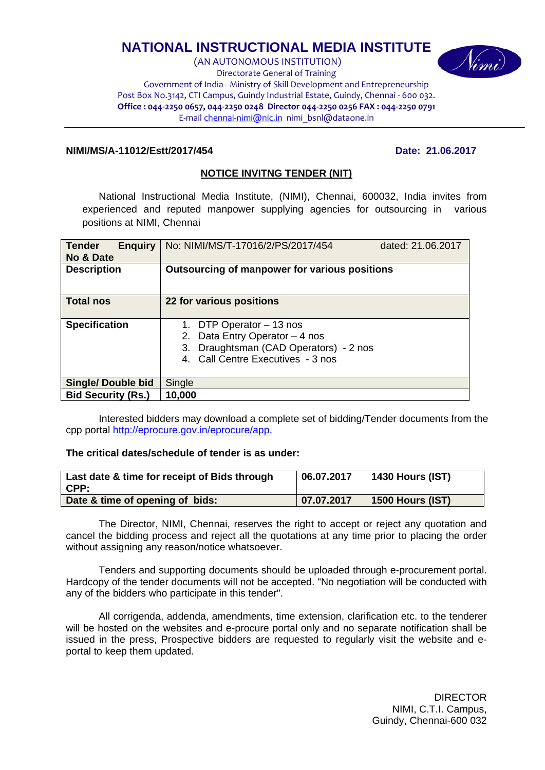# **NATIONAL INSTRUCTIONAL MEDIA INSTITUTE**

(AN AUTONOMOUS INSTITUTION) Directorate General of Training Government of India ‐ Ministry of Skill Development and Entrepreneurship Post Box No.3142, CTI Campus, Guindy Industrial Estate, Guindy, Chennai ‐ 600 032. Office: 044-2250 0657, 044-2250 0248 Director 044-2250 0256 FAX: 044-2250 0791 E‐mail chennai‐nimi@nic.in nimi\_bsnl@dataone.in

#### **NIMI/MS/A-11012/Estt/2017/454 Date: 21.06.2017**

#### **NOTICE INVITNG TENDER (NIT)**

National Instructional Media Institute, (NIMI), Chennai, 600032, India invites from experienced and reputed manpower supplying agencies for outsourcing in various positions at NIMI, Chennai

| <b>Tender</b><br><b>Enguiry</b><br>No & Date | No: NIMI/MS/T-17016/2/PS/2017/454<br>dated: 21.06.2017                                                                                          |  |  |
|----------------------------------------------|-------------------------------------------------------------------------------------------------------------------------------------------------|--|--|
| <b>Description</b>                           | Outsourcing of manpower for various positions                                                                                                   |  |  |
| <b>Total nos</b>                             | 22 for various positions                                                                                                                        |  |  |
| <b>Specification</b>                         | 1. DTP Operator - 13 nos<br>Data Entry Operator - 4 nos<br>2.<br>Draughtsman (CAD Operators) - 2 nos<br>3.<br>4. Call Centre Executives - 3 nos |  |  |
| <b>Single/ Double bid</b>                    | Single                                                                                                                                          |  |  |
| <b>Bid Security (Rs.)</b>                    | 10,000                                                                                                                                          |  |  |

Interested bidders may download a complete set of bidding/Tender documents from the cpp portal http://eprocure.gov.in/eprocure/app.

**The critical dates/schedule of tender is as under:** 

| Last date & time for receipt of Bids through<br>$\mathsf{CPP}$ : | 06.07.2017 | <b>1430 Hours (IST)</b> |
|------------------------------------------------------------------|------------|-------------------------|
| Date & time of opening of bids:                                  | 07.07.2017 | 1500 Hours (IST)        |

The Director, NIMI, Chennai, reserves the right to accept or reject any quotation and cancel the bidding process and reject all the quotations at any time prior to placing the order without assigning any reason/notice whatsoever.

Tenders and supporting documents should be uploaded through e-procurement portal. Hardcopy of the tender documents will not be accepted. "No negotiation will be conducted with any of the bidders who participate in this tender".

All corrigenda, addenda, amendments, time extension, clarification etc. to the tenderer will be hosted on the websites and e-procure portal only and no separate notification shall be issued in the press, Prospective bidders are requested to regularly visit the website and eportal to keep them updated.

> **DIRECTOR** NIMI, C.T.I. Campus, Guindy, Chennai-600 032

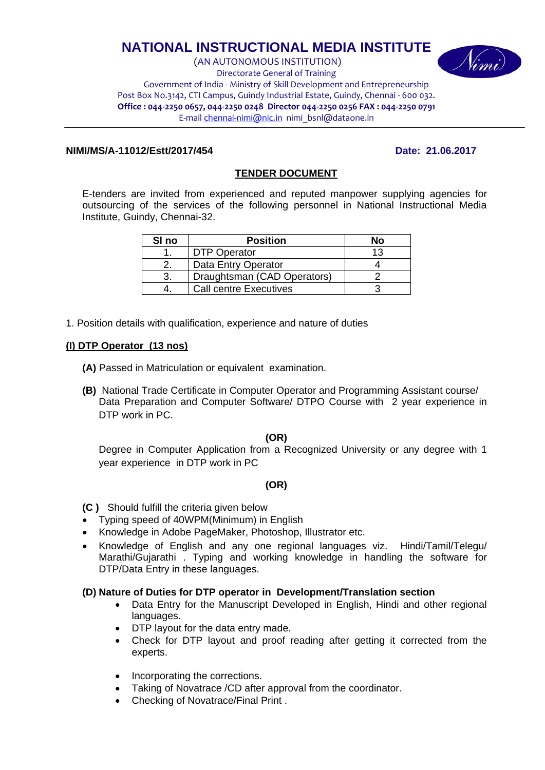# **NATIONAL INSTRUCTIONAL MEDIA INSTITUTE**

(AN AUTONOMOUS INSTITUTION) Directorate General of Training Government of India ‐ Ministry of Skill Development and Entrepreneurship Post Box No.3142, CTI Campus, Guindy Industrial Estate, Guindy, Chennai ‐ 600 032. Office: 044-2250 0657, 044-2250 0248 Director 044-2250 0256 FAX: 044-2250 0791 E‐mail chennai‐nimi@nic.in nimi\_bsnl@dataone.in

#### **NIMI/MS/A-11012/Estt/2017/454 Date: 21.06.2017**

(imi)

#### **TENDER DOCUMENT**

E-tenders are invited from experienced and reputed manpower supplying agencies for outsourcing of the services of the following personnel in National Instructional Media Institute, Guindy, Chennai-32.

| SI <sub>no</sub> | <b>Position</b>               | No  |
|------------------|-------------------------------|-----|
|                  | <b>DTP Operator</b>           | 1 2 |
|                  | Data Entry Operator           |     |
|                  | Draughtsman (CAD Operators)   |     |
|                  | <b>Call centre Executives</b> |     |

1. Position details with qualification, experience and nature of duties

#### **(I) DTP Operator (13 nos)**

- **(A)** Passed in Matriculation or equivalent examination.
- **(B)** National Trade Certificate in Computer Operator and Programming Assistant course/ Data Preparation and Computer Software/ DTPO Course with 2 year experience in DTP work in PC.

#### **(OR)**

Degree in Computer Application from a Recognized University or any degree with 1 year experience in DTP work in PC

#### **(OR)**

- **(C )** Should fulfill the criteria given below
- Typing speed of 40WPM(Minimum) in English
- Knowledge in Adobe PageMaker, Photoshop, Illustrator etc.
- Knowledge of English and any one regional languages viz. Hindi/Tamil/Telegu/ Marathi/Gujarathi . Typing and working knowledge in handling the software for DTP/Data Entry in these languages.

#### **(D) Nature of Duties for DTP operator in Development/Translation section**

- Data Entry for the Manuscript Developed in English, Hindi and other regional languages.
- DTP layout for the data entry made.
- Check for DTP layout and proof reading after getting it corrected from the experts.
- Incorporating the corrections.
- Taking of Novatrace /CD after approval from the coordinator.
- Checking of Novatrace/Final Print .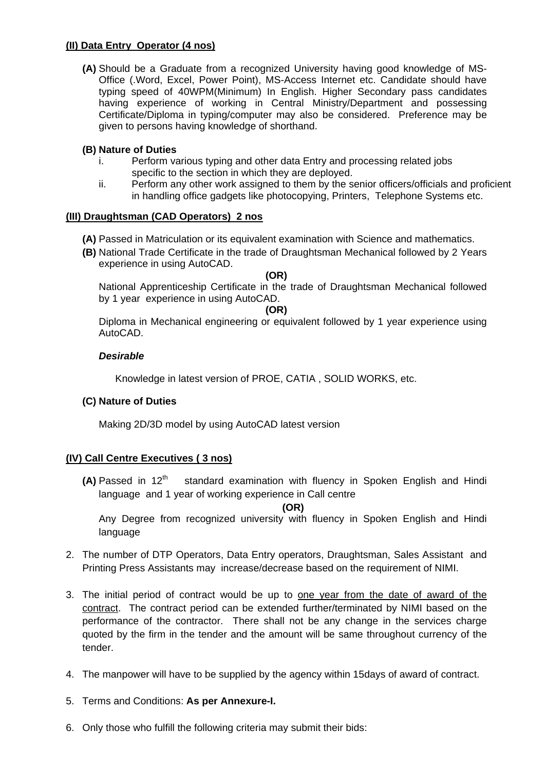#### **(II) Data Entry Operator (4 nos)**

**(A)** Should be a Graduate from a recognized University having good knowledge of MS-Office (.Word, Excel, Power Point), MS-Access Internet etc. Candidate should have typing speed of 40WPM(Minimum) In English. Higher Secondary pass candidates having experience of working in Central Ministry/Department and possessing Certificate/Diploma in typing/computer may also be considered. Preference may be given to persons having knowledge of shorthand.

#### **(B) Nature of Duties**

- i. Perform various typing and other data Entry and processing related jobs specific to the section in which they are deployed.
- ii. Perform any other work assigned to them by the senior officers/officials and proficient in handling office gadgets like photocopying, Printers, Telephone Systems etc.

#### **(III) Draughtsman (CAD Operators) 2 nos**

- **(A)** Passed in Matriculation or its equivalent examination with Science and mathematics.
- **(B)** National Trade Certificate in the trade of Draughtsman Mechanical followed by 2 Years experience in using AutoCAD.

#### **(OR)**

National Apprenticeship Certificate in the trade of Draughtsman Mechanical followed by 1 year experience in using AutoCAD.

#### **(OR)**

Diploma in Mechanical engineering or equivalent followed by 1 year experience using AutoCAD.

#### *Desirable*

Knowledge in latest version of PROE, CATIA , SOLID WORKS, etc.

#### **(C) Nature of Duties**

Making 2D/3D model by using AutoCAD latest version

### **(IV) Call Centre Executives ( 3 nos)**

**(A)** Passed in 12<sup>th</sup> standard examination with fluency in Spoken English and Hindi language and 1 year of working experience in Call centre

**(OR)** 

Any Degree from recognized university with fluency in Spoken English and Hindi language

- 2. The number of DTP Operators, Data Entry operators, Draughtsman, Sales Assistant and Printing Press Assistants may increase/decrease based on the requirement of NIMI.
- 3. The initial period of contract would be up to one year from the date of award of the contract. The contract period can be extended further/terminated by NIMI based on the performance of the contractor. There shall not be any change in the services charge quoted by the firm in the tender and the amount will be same throughout currency of the tender.
- 4. The manpower will have to be supplied by the agency within 15days of award of contract.
- 5. Terms and Conditions: **As per Annexure-I.**
- 6. Only those who fulfill the following criteria may submit their bids: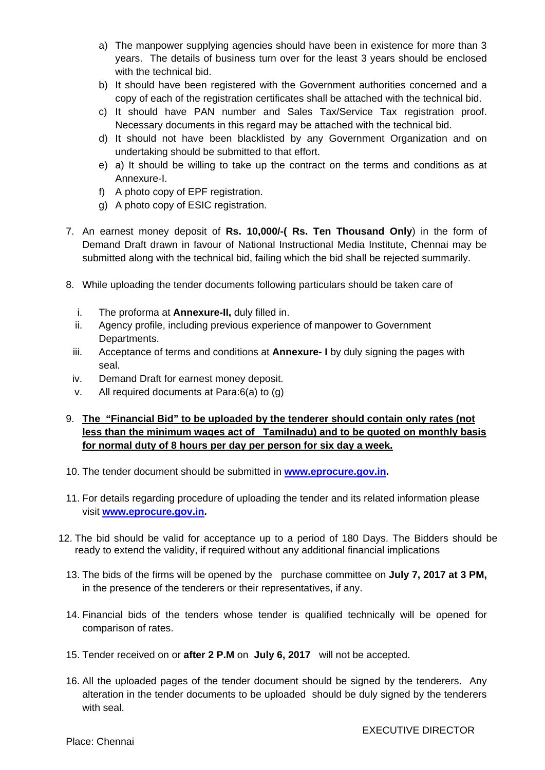- a) The manpower supplying agencies should have been in existence for more than 3 years. The details of business turn over for the least 3 years should be enclosed with the technical bid.
- b) It should have been registered with the Government authorities concerned and a copy of each of the registration certificates shall be attached with the technical bid.
- c) It should have PAN number and Sales Tax/Service Tax registration proof. Necessary documents in this regard may be attached with the technical bid.
- d) It should not have been blacklisted by any Government Organization and on undertaking should be submitted to that effort.
- e) a) It should be willing to take up the contract on the terms and conditions as at Annexure-I.
- f) A photo copy of EPF registration.
- g) A photo copy of ESIC registration.
- 7. An earnest money deposit of **Rs. 10,000/-( Rs. Ten Thousand Only**) in the form of Demand Draft drawn in favour of National Instructional Media Institute, Chennai may be submitted along with the technical bid, failing which the bid shall be rejected summarily.
- 8. While uploading the tender documents following particulars should be taken care of
	- i. The proforma at **Annexure-II,** duly filled in.
	- ii. Agency profile, including previous experience of manpower to Government Departments.
	- iii. Acceptance of terms and conditions at **Annexure- I** by duly signing the pages with seal.
	- iv. Demand Draft for earnest money deposit.
	- v. All required documents at Para:6(a) to (g)

## 9. **The "Financial Bid" to be uploaded by the tenderer should contain only rates (not less than the minimum wages act of Tamilnadu) and to be quoted on monthly basis for normal duty of 8 hours per day per person for six day a week.**

- 10. The tender document should be submitted in **www.eprocure.gov.in.**
- 11. For details regarding procedure of uploading the tender and its related information please visit **www.eprocure.gov.in.**
- 12. The bid should be valid for acceptance up to a period of 180 Days. The Bidders should be ready to extend the validity, if required without any additional financial implications
	- 13. The bids of the firms will be opened by the purchase committee on **July 7, 2017 at 3 PM,** in the presence of the tenderers or their representatives, if any.
	- 14. Financial bids of the tenders whose tender is qualified technically will be opened for comparison of rates.
	- 15. Tender received on or **after 2 P.M** on **July 6, 2017** will not be accepted.
	- 16. All the uploaded pages of the tender document should be signed by the tenderers. Any alteration in the tender documents to be uploaded should be duly signed by the tenderers with seal.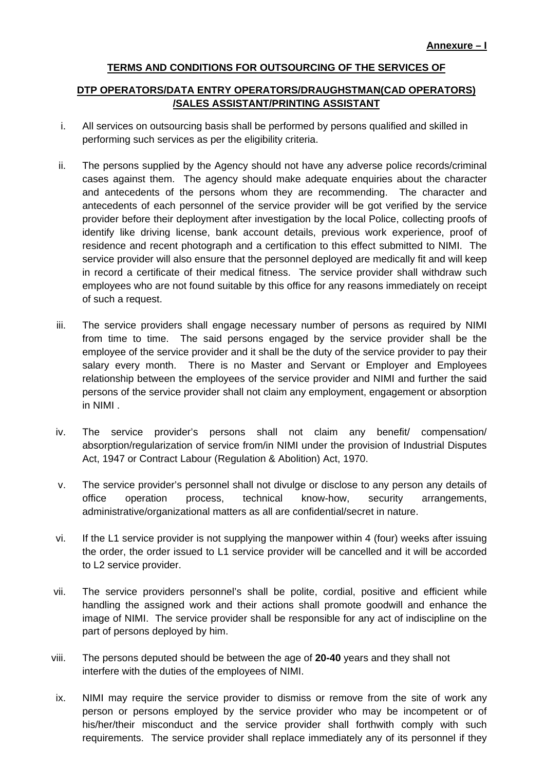### **TERMS AND CONDITIONS FOR OUTSOURCING OF THE SERVICES OF**

#### **DTP OPERATORS/DATA ENTRY OPERATORS/DRAUGHSTMAN(CAD OPERATORS) /SALES ASSISTANT/PRINTING ASSISTANT**

- i. All services on outsourcing basis shall be performed by persons qualified and skilled in performing such services as per the eligibility criteria.
- ii. The persons supplied by the Agency should not have any adverse police records/criminal cases against them. The agency should make adequate enquiries about the character and antecedents of the persons whom they are recommending. The character and antecedents of each personnel of the service provider will be got verified by the service provider before their deployment after investigation by the local Police, collecting proofs of identify like driving license, bank account details, previous work experience, proof of residence and recent photograph and a certification to this effect submitted to NIMI. The service provider will also ensure that the personnel deployed are medically fit and will keep in record a certificate of their medical fitness. The service provider shall withdraw such employees who are not found suitable by this office for any reasons immediately on receipt of such a request.
- iii. The service providers shall engage necessary number of persons as required by NIMI from time to time. The said persons engaged by the service provider shall be the employee of the service provider and it shall be the duty of the service provider to pay their salary every month. There is no Master and Servant or Employer and Employees relationship between the employees of the service provider and NIMI and further the said persons of the service provider shall not claim any employment, engagement or absorption in NIMI .
- iv. The service provider's persons shall not claim any benefit/ compensation/ absorption/regularization of service from/in NIMI under the provision of Industrial Disputes Act, 1947 or Contract Labour (Regulation & Abolition) Act, 1970.
- v. The service provider's personnel shall not divulge or disclose to any person any details of office operation process, technical know-how, security arrangements, administrative/organizational matters as all are confidential/secret in nature.
- vi. If the L1 service provider is not supplying the manpower within 4 (four) weeks after issuing the order, the order issued to L1 service provider will be cancelled and it will be accorded to L2 service provider.
- vii. The service providers personnel's shall be polite, cordial, positive and efficient while handling the assigned work and their actions shall promote goodwill and enhance the image of NIMI. The service provider shall be responsible for any act of indiscipline on the part of persons deployed by him.
- viii. The persons deputed should be between the age of **20-40** years and they shall not interfere with the duties of the employees of NIMI.
- ix. NIMI may require the service provider to dismiss or remove from the site of work any person or persons employed by the service provider who may be incompetent or of his/her/their misconduct and the service provider shall forthwith comply with such requirements. The service provider shall replace immediately any of its personnel if they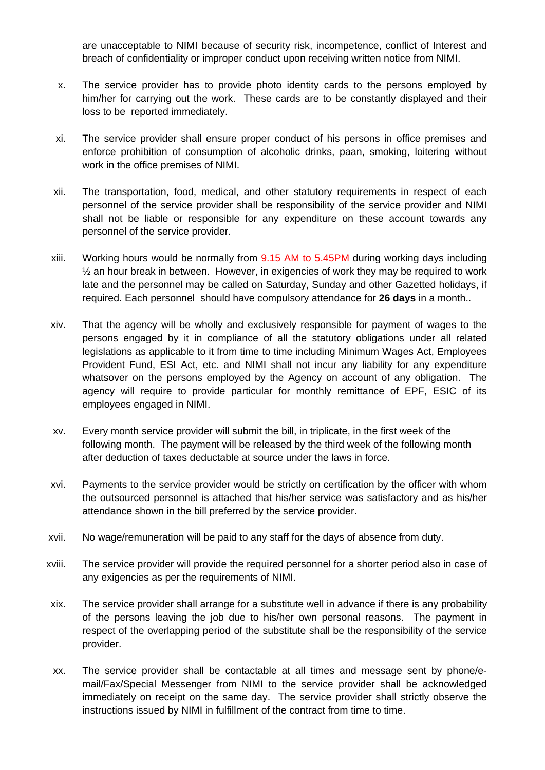are unacceptable to NIMI because of security risk, incompetence, conflict of Interest and breach of confidentiality or improper conduct upon receiving written notice from NIMI.

- x. The service provider has to provide photo identity cards to the persons employed by him/her for carrying out the work. These cards are to be constantly displayed and their loss to be reported immediately.
- xi. The service provider shall ensure proper conduct of his persons in office premises and enforce prohibition of consumption of alcoholic drinks, paan, smoking, loitering without work in the office premises of NIMI.
- xii. The transportation, food, medical, and other statutory requirements in respect of each personnel of the service provider shall be responsibility of the service provider and NIMI shall not be liable or responsible for any expenditure on these account towards any personnel of the service provider.
- xiii. Working hours would be normally from 9.15 AM to 5.45PM during working days including  $\frac{1}{2}$  an hour break in between. However, in exigencies of work they may be required to work late and the personnel may be called on Saturday, Sunday and other Gazetted holidays, if required. Each personnel should have compulsory attendance for **26 days** in a month..
- xiv. That the agency will be wholly and exclusively responsible for payment of wages to the persons engaged by it in compliance of all the statutory obligations under all related legislations as applicable to it from time to time including Minimum Wages Act, Employees Provident Fund, ESI Act, etc. and NIMI shall not incur any liability for any expenditure whatsover on the persons employed by the Agency on account of any obligation. The agency will require to provide particular for monthly remittance of EPF, ESIC of its employees engaged in NIMI.
- xv. Every month service provider will submit the bill, in triplicate, in the first week of the following month. The payment will be released by the third week of the following month after deduction of taxes deductable at source under the laws in force.
- xvi. Payments to the service provider would be strictly on certification by the officer with whom the outsourced personnel is attached that his/her service was satisfactory and as his/her attendance shown in the bill preferred by the service provider.
- xvii. No wage/remuneration will be paid to any staff for the days of absence from duty.
- xviii. The service provider will provide the required personnel for a shorter period also in case of any exigencies as per the requirements of NIMI.
- xix. The service provider shall arrange for a substitute well in advance if there is any probability of the persons leaving the job due to his/her own personal reasons. The payment in respect of the overlapping period of the substitute shall be the responsibility of the service provider.
- xx. The service provider shall be contactable at all times and message sent by phone/email/Fax/Special Messenger from NIMI to the service provider shall be acknowledged immediately on receipt on the same day. The service provider shall strictly observe the instructions issued by NIMI in fulfillment of the contract from time to time.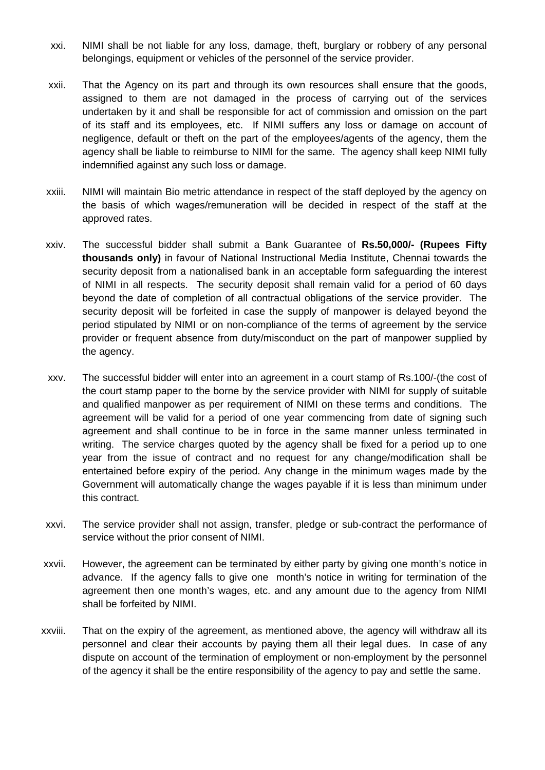- xxi. NIMI shall be not liable for any loss, damage, theft, burglary or robbery of any personal belongings, equipment or vehicles of the personnel of the service provider.
- xxii. That the Agency on its part and through its own resources shall ensure that the goods, assigned to them are not damaged in the process of carrying out of the services undertaken by it and shall be responsible for act of commission and omission on the part of its staff and its employees, etc. If NIMI suffers any loss or damage on account of negligence, default or theft on the part of the employees/agents of the agency, them the agency shall be liable to reimburse to NIMI for the same. The agency shall keep NIMI fully indemnified against any such loss or damage.
- xxiii. NIMI will maintain Bio metric attendance in respect of the staff deployed by the agency on the basis of which wages/remuneration will be decided in respect of the staff at the approved rates.
- xxiv. The successful bidder shall submit a Bank Guarantee of **Rs.50,000/- (Rupees Fifty thousands only)** in favour of National Instructional Media Institute, Chennai towards the security deposit from a nationalised bank in an acceptable form safeguarding the interest of NIMI in all respects. The security deposit shall remain valid for a period of 60 days beyond the date of completion of all contractual obligations of the service provider. The security deposit will be forfeited in case the supply of manpower is delayed beyond the period stipulated by NIMI or on non-compliance of the terms of agreement by the service provider or frequent absence from duty/misconduct on the part of manpower supplied by the agency.
- xxv. The successful bidder will enter into an agreement in a court stamp of Rs.100/-(the cost of the court stamp paper to the borne by the service provider with NIMI for supply of suitable and qualified manpower as per requirement of NIMI on these terms and conditions. The agreement will be valid for a period of one year commencing from date of signing such agreement and shall continue to be in force in the same manner unless terminated in writing. The service charges quoted by the agency shall be fixed for a period up to one year from the issue of contract and no request for any change/modification shall be entertained before expiry of the period. Any change in the minimum wages made by the Government will automatically change the wages payable if it is less than minimum under this contract.
- xxvi. The service provider shall not assign, transfer, pledge or sub-contract the performance of service without the prior consent of NIMI.
- xxvii. However, the agreement can be terminated by either party by giving one month's notice in advance. If the agency falls to give one month's notice in writing for termination of the agreement then one month's wages, etc. and any amount due to the agency from NIMI shall be forfeited by NIMI.
- xxviii. That on the expiry of the agreement, as mentioned above, the agency will withdraw all its personnel and clear their accounts by paying them all their legal dues. In case of any dispute on account of the termination of employment or non-employment by the personnel of the agency it shall be the entire responsibility of the agency to pay and settle the same.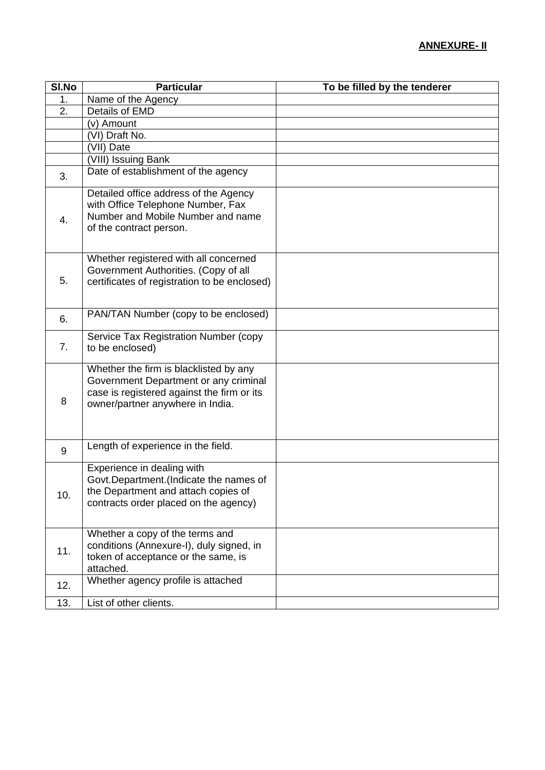| SI.No | <b>Particular</b>                                                                                                                                                 | To be filled by the tenderer |
|-------|-------------------------------------------------------------------------------------------------------------------------------------------------------------------|------------------------------|
| 1.    | Name of the Agency                                                                                                                                                |                              |
| 2.    | Details of EMD                                                                                                                                                    |                              |
|       | (v) Amount                                                                                                                                                        |                              |
|       | (VI) Draft No.                                                                                                                                                    |                              |
|       | (VII) Date                                                                                                                                                        |                              |
|       | (VIII) Issuing Bank                                                                                                                                               |                              |
| 3.    | Date of establishment of the agency                                                                                                                               |                              |
| 4.    | Detailed office address of the Agency<br>with Office Telephone Number, Fax<br>Number and Mobile Number and name<br>of the contract person.                        |                              |
| 5.    | Whether registered with all concerned<br>Government Authorities. (Copy of all<br>certificates of registration to be enclosed)                                     |                              |
| 6.    | PAN/TAN Number (copy to be enclosed)                                                                                                                              |                              |
| 7.    | Service Tax Registration Number (copy<br>to be enclosed)                                                                                                          |                              |
| 8     | Whether the firm is blacklisted by any<br>Government Department or any criminal<br>case is registered against the firm or its<br>owner/partner anywhere in India. |                              |
| 9     | Length of experience in the field.                                                                                                                                |                              |
| 10.   | Experience in dealing with<br>Govt.Department.(Indicate the names of<br>the Department and attach copies of<br>contracts order placed on the agency)              |                              |
| 11.   | Whether a copy of the terms and<br>conditions (Annexure-I), duly signed, in<br>token of acceptance or the same, is<br>attached.                                   |                              |
| 12.   | Whether agency profile is attached                                                                                                                                |                              |
| 13.   | List of other clients.                                                                                                                                            |                              |